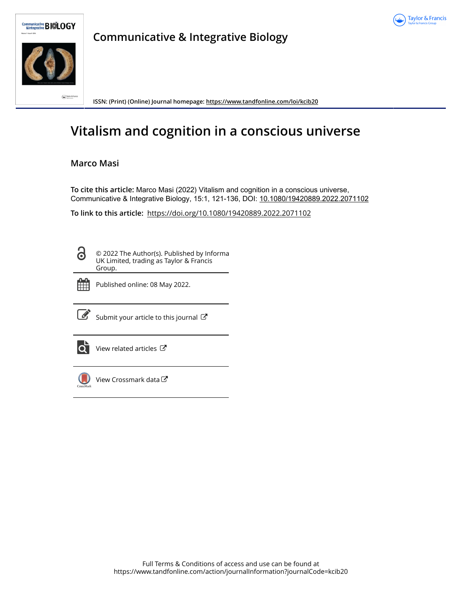



**Communicative & Integrative Biology**

**ISSN: (Print) (Online) Journal homepage:<https://www.tandfonline.com/loi/kcib20>**

# **Vitalism and cognition in a conscious universe**

# **Marco Masi**

**To cite this article:** Marco Masi (2022) Vitalism and cognition in a conscious universe, Communicative & Integrative Biology, 15:1, 121-136, DOI: [10.1080/19420889.2022.2071102](https://www.tandfonline.com/action/showCitFormats?doi=10.1080/19420889.2022.2071102)

**To link to this article:** <https://doi.org/10.1080/19420889.2022.2071102>

3

© 2022 The Author(s). Published by Informa UK Limited, trading as Taylor & Francis Group.



Published online: 08 May 2022.



 $\overrightarrow{S}$  [Submit your article to this journal](https://www.tandfonline.com/action/authorSubmission?journalCode=kcib20&show=instructions)  $\overrightarrow{S}$ 



 $\overrightarrow{Q}$  [View related articles](https://www.tandfonline.com/doi/mlt/10.1080/19420889.2022.2071102)  $\overrightarrow{C}$ 



 $\bigcup$  [View Crossmark data](http://crossmark.crossref.org/dialog/?doi=10.1080/19420889.2022.2071102&domain=pdf&date_stamp=2022-05-08) $G$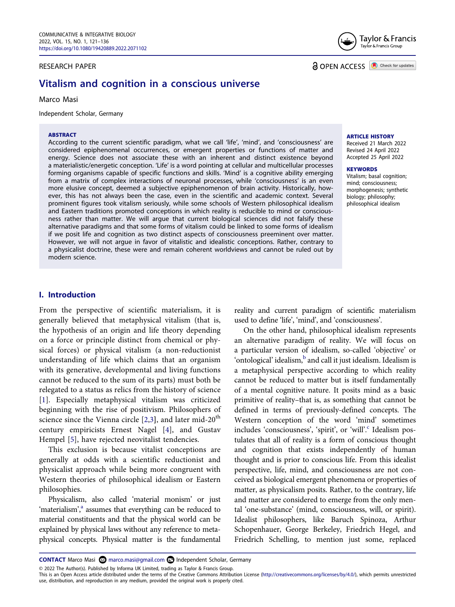#### RESEARCH PAPER



**a** OPEN ACCESS **a** Check for updates

# **Vitalism and cognition in a conscious universe**

Marco Masi

Independent Scholar, Germany

#### **ABSTRACT**

According to the current scientific paradigm, what we call 'life', 'mind', and 'consciousness' are considered epiphenomenal occurrences, or emergent properties or functions of matter and energy. Science does not associate these with an inherent and distinct existence beyond a materialistic/energetic conception. 'Life' is a word pointing at cellular and multicellular processes forming organisms capable of specific functions and skills. 'Mind' is a cognitive ability emerging from a matrix of complex interactions of neuronal processes, while 'consciousness' is an even more elusive concept, deemed a subjective epiphenomenon of brain activity. Historically, however, this has not always been the case, even in the scientific and academic context. Several prominent figures took vitalism seriously, while some schools of Western philosophical idealism and Eastern traditions promoted conceptions in which reality is reducible to mind or consciousness rather than matter. We will argue that current biological sciences did not falsify these alternative paradigms and that some forms of vitalism could be linked to some forms of idealism if we posit life and cognition as two distinct aspects of consciousness preeminent over matter. However, we will not argue in favor of vitalistic and idealistic conceptions. Rather, contrary to a physicalist doctrine, these were and remain coherent worldviews and cannot be ruled out by modern science.

**ARTICLE HISTORY**

Received 21 March 2022 Revised 24 April 2022 Accepted 25 April 2022

#### **KEYWORDS**

Vitalism; basal cognition; mind; consciousness; morphogenesis; synthetic biology; philosophy; philosophical idealism

#### **I. Introduction**

From the perspective of scientific materialism, it is generally believed that metaphysical vitalism (that is, the hypothesis of an origin and life theory depending on a force or principle distinct from chemical or physical forces) or physical vitalism (a non-reductionist understanding of life which claims that an organism with its generative, developmental and living functions cannot be reduced to the sum of its parts) must both be relegated to a status as relics from the history of science [[1\]](#page-14-0). Especially metaphysical vitalism was criticized beginning with the rise of positivism. Philosophers of science since the Vienna circle [\[2](#page-14-1),[3](#page-14-2)], and later mid-20<sup>th</sup> century empiricists Ernest Nagel [[4\]](#page-14-3), and Gustav Hempel [[5\]](#page-14-4), have rejected neovitalist tendencies.

<span id="page-1-3"></span><span id="page-1-2"></span><span id="page-1-1"></span><span id="page-1-0"></span>This exclusion is because vitalist conceptions are generally at odds with a scientific reductionist and physicalist approach while being more congruent with Western theories of philosophical idealism or Eastern philosophies.

Physicalism, also called 'material monism' or just 'materialism',<sup>a</sup> assumes that everything can be reduced to material constituents and that the physical world can be explained by physical laws without any reference to metaphysical concepts. Physical matter is the fundamental reality and current paradigm of scientific materialism used to define 'life', 'mind', and 'consciousness'.

On the other hand, philosophical idealism represents an alternative paradigm of reality. We will focus on a particular version of idealism, so-called 'objective' or 'ontological' idealism, $b$  and call it just idealism. Idealism is a metaphysical perspective according to which reality cannot be reduced to matter but is itself fundamentally of a mental cognitive nature. It posits mind as a basic primitive of reality–that is, as something that cannot be defined in terms of previously-defined concepts. The Western conception of the word 'mind' sometimes includes 'consciousness', 'spirit', or 'will'.<sup>c</sup> Idealism postulates that all of reality is a form of conscious thought and cognition that exists independently of human thought and is prior to conscious life. From this idealist perspective, life, mind, and consciousness are not conceived as biological emergent phenomena or properties of matter, as physicalism posits. Rather, to the contrary, life and matter are considered to emerge from the only mental 'one-substance' (mind, consciousness, will, or spirit). Idealist philosophers, like Baruch Spinoza, Arthur Schopenhauer, George Berkeley, Friedrich Hegel, and Friedrich Schelling, to mention just some, replaced

© 2022 The Author(s). Published by Informa UK Limited, trading as Taylor & Francis Group.

**CONTACT** Marco Masi **Independent Scholar, Germany** 

This is an Open Access article distributed under the terms of the Creative Commons Attribution License (http://creativecommons.org/licenses/by/4.0/), which permits unrestricted use, distribution, and reproduction in any medium, provided the original work is properly cited.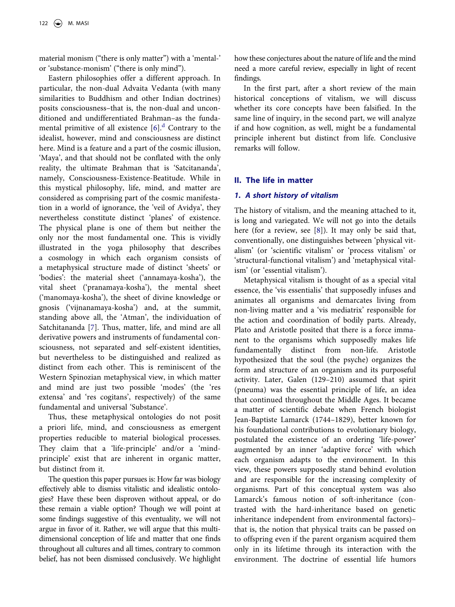material monism ("there is only matter") with a 'mental-' or 'substance-monism' ("there is only mind").

<span id="page-2-1"></span>Eastern philosophies offer a different approach. In particular, the non-dual Advaita Vedanta (with many similarities to Buddhism and other Indian doctrines) posits consciousness–that is, the non-dual and unconditioned and undifferentiated Brahman–as the fundamental primitive of all existence  $[6]$  $[6]$ <sup>[d](#page-14-9)</sup> Contrary to the idealist, however, mind and consciousness are distinct here. Mind is a feature and a part of the cosmic illusion, 'Maya', and that should not be conflated with the only reality, the ultimate Brahman that is 'Satcitananda', namely, Consciousness-Existence-Beatitude. While in this mystical philosophy, life, mind, and matter are considered as comprising part of the cosmic manifestation in a world of ignorance, the 'veil of Avidya', they nevertheless constitute distinct 'planes' of existence. The physical plane is one of them but neither the only nor the most fundamental one. This is vividly illustrated in the yoga philosophy that describes a cosmology in which each organism consists of a metaphysical structure made of distinct 'sheets' or 'bodies': the material sheet ('annamaya-kosha'), the vital sheet ('pranamaya-kosha'), the mental sheet ('manomaya-kosha'), the sheet of divine knowledge or gnosis ('vijnanamaya-kosha') and, at the summit, standing above all, the 'Atman', the individuation of Satchitananda [\[7](#page-14-10)]. Thus, matter, life, and mind are all derivative powers and instruments of fundamental consciousness, not separated and self-existent identities, but nevertheless to be distinguished and realized as distinct from each other. This is reminiscent of the Western Spinozian metaphysical view, in which matter and mind are just two possible 'modes' (the 'res extensa' and 'res cogitans', respectively) of the same fundamental and universal 'Substance'.

<span id="page-2-2"></span>Thus, these metaphysical ontologies do not posit a priori life, mind, and consciousness as emergent properties reducible to material biological processes. They claim that a 'life-principle' and/or a 'mindprinciple' exist that are inherent in organic matter, but distinct from it.

The question this paper pursues is: How far was biology effectively able to dismiss vitalistic and idealistic ontologies? Have these been disproven without appeal, or do these remain a viable option? Though we will point at some findings suggestive of this eventuality, we will not argue in favor of it. Rather, we will argue that this multidimensional conception of life and matter that one finds throughout all cultures and all times, contrary to common belief, has not been dismissed conclusively. We highlight how these conjectures about the nature of life and the mind need a more careful review, especially in light of recent findings.

In the first part, after a short review of the main historical conceptions of vitalism, we will discuss whether its core concepts have been falsified. In the same line of inquiry, in the second part, we will analyze if and how cognition, as well, might be a fundamental principle inherent but distinct from life. Conclusive remarks will follow.

### <span id="page-2-0"></span>**II. The life in matter**

#### *1. A short history of vitalism*

<span id="page-2-3"></span>The history of vitalism, and the meaning attached to it, is long and variegated. We will not go into the details here (for a review, see [\[8](#page-14-11)]). It may only be said that, conventionally, one distinguishes between 'physical vitalism' (or 'scientific vitalism' or 'process vitalism' or 'structural-functional vitalism') and 'metaphysical vitalism' (or 'essential vitalism').

Metaphysical vitalism is thought of as a special vital essence, the 'vis essentialis' that supposedly infuses and animates all organisms and demarcates living from non-living matter and a 'vis mediatrix' responsible for the action and coordination of bodily parts. Already, Plato and Aristotle posited that there is a force immanent to the organisms which supposedly makes life fundamentally distinct from non-life. Aristotle hypothesized that the soul (the psyche) organizes the form and structure of an organism and its purposeful activity. Later, Galen (129–210) assumed that spirit (pneuma) was the essential principle of life, an idea that continued throughout the Middle Ages. It became a matter of scientific debate when French biologist Jean-Baptiste Lamarck (1744–1829), better known for his foundational contributions to evolutionary biology, postulated the existence of an ordering 'life-power' augmented by an inner 'adaptive force' with which each organism adapts to the environment. In this view, these powers supposedly stand behind evolution and are responsible for the increasing complexity of organisms. Part of this conceptual system was also Lamarck's famous notion of soft-inheritance (contrasted with the hard-inheritance based on genetic inheritance independent from environmental factors)– that is, the notion that physical traits can be passed on to offspring even if the parent organism acquired them only in its lifetime through its interaction with the environment. The doctrine of essential life humors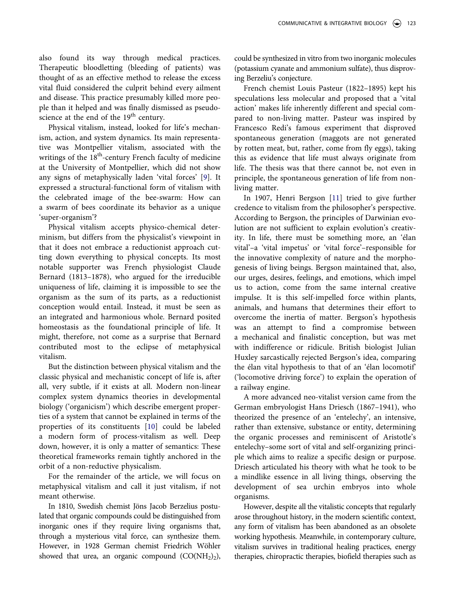also found its way through medical practices. Therapeutic bloodletting (bleeding of patients) was thought of as an effective method to release the excess vital fluid considered the culprit behind every ailment and disease. This practice presumably killed more people than it helped and was finally dismissed as pseudoscience at the end of the 19<sup>th</sup> century.

<span id="page-3-0"></span>Physical vitalism, instead, looked for life's mechanism, action, and system dynamics. Its main representative was Montpellier vitalism, associated with the writings of the  $18<sup>th</sup>$ -century French faculty of medicine at the University of Montpellier, which did not show any signs of metaphysically laden 'vital forces' [\[9\]](#page-14-12). It expressed a structural-functional form of vitalism with the celebrated image of the bee-swarm: How can a swarm of bees coordinate its behavior as a unique 'super-organism'?

Physical vitalism accepts physico-chemical determinism, but differs from the physicalist's viewpoint in that it does not embrace a reductionist approach cutting down everything to physical concepts. Its most notable supporter was French physiologist Claude Bernard (1813–1878), who argued for the irreducible uniqueness of life, claiming it is impossible to see the organism as the sum of its parts, as a reductionist conception would entail. Instead, it must be seen as an integrated and harmonious whole. Bernard posited homeostasis as the foundational principle of life. It might, therefore, not come as a surprise that Bernard contributed most to the eclipse of metaphysical vitalism.

But the distinction between physical vitalism and the classic physical and mechanistic concept of life is, after all, very subtle, if it exists at all. Modern non-linear complex system dynamics theories in developmental biology ('organicism') which describe emergent properties of a system that cannot be explained in terms of the properties of its constituents [\[10\]](#page-14-13) could be labeled a modern form of process-vitalism as well. Deep down, however, it is only a matter of semantics: These theoretical frameworks remain tightly anchored in the orbit of a non-reductive physicalism.

<span id="page-3-1"></span>For the remainder of the article, we will focus on metaphysical vitalism and call it just vitalism, if not meant otherwise.

In 1810, Swedish chemist Jöns Jacob Berzelius postulated that organic compounds could be distinguished from inorganic ones if they require living organisms that, through a mysterious vital force, can synthesize them. However, in 1928 German chemist Friedrich Wöhler showed that urea, an organic compound  $(CO(NH<sub>2</sub>)<sub>2</sub>)$ ,

could be synthesized in vitro from two inorganic molecules (potassium cyanate and ammonium sulfate), thus disproving Berzeliu's conjecture.

French chemist Louis Pasteur (1822–1895) kept his speculations less molecular and proposed that a 'vital action' makes life inherently different and special compared to non-living matter. Pasteur was inspired by Francesco Redi's famous experiment that disproved spontaneous generation (maggots are not generated by rotten meat, but, rather, come from fly eggs), taking this as evidence that life must always originate from life. The thesis was that there cannot be, not even in principle, the spontaneous generation of life from nonliving matter.

<span id="page-3-2"></span>In 1907, Henri Bergson [\[11\]](#page-14-14) tried to give further credence to vitalism from the philosopher's perspective. According to Bergson, the principles of Darwinian evolution are not sufficient to explain evolution's creativity. In life, there must be something more, an 'élan vital'–a 'vital impetus' or 'vital force'–responsible for the innovative complexity of nature and the morphogenesis of living beings. Bergson maintained that, also, our urges, desires, feelings, and emotions, which impel us to action, come from the same internal creative impulse. It is this self-impelled force within plants, animals, and humans that determines their effort to overcome the inertia of matter. Bergson's hypothesis was an attempt to find a compromise between a mechanical and finalistic conception, but was met with indifference or ridicule. British biologist Julian Huxley sarcastically rejected Bergson's idea, comparing the élan vital hypothesis to that of an 'élan locomotif' ('locomotive driving force') to explain the operation of a railway engine.

A more advanced neo-vitalist version came from the German embryologist Hans Driesch (1867–1941), who theorized the presence of an 'entelechy', an intensive, rather than extensive, substance or entity, determining the organic processes and reminiscent of Aristotle's entelechy–some sort of vital and self-organizing principle which aims to realize a specific design or purpose. Driesch articulated his theory with what he took to be a mindlike essence in all living things, observing the development of sea urchin embryos into whole organisms.

However, despite all the vitalistic concepts that regularly arose throughout history, in the modern scientific context, any form of vitalism has been abandoned as an obsolete working hypothesis. Meanwhile, in contemporary culture, vitalism survives in traditional healing practices, energy therapies, chiropractic therapies, biofield therapies such as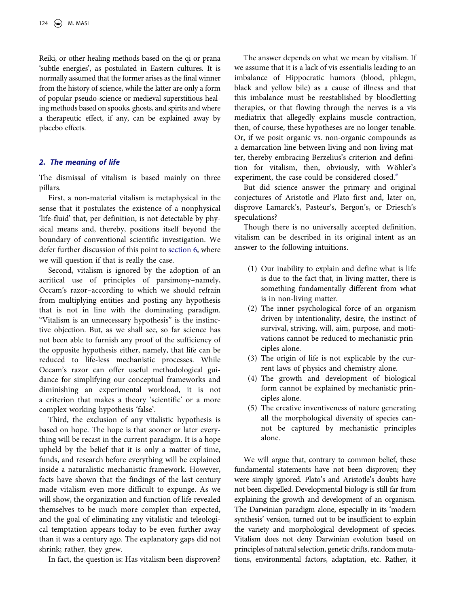Reiki, or other healing methods based on the qi or prana 'subtle energies', as postulated in Eastern cultures. It is normally assumed that the former arises as the final winner from the history of science, while the latter are only a form of popular pseudo-science or medieval superstitious healing methods based on spooks, ghosts, and spirits and where a therapeutic effect, if any, can be explained away by placebo effects.

#### *2. The meaning of life*

The dismissal of vitalism is based mainly on three pillars.

First, a non-material vitalism is metaphysical in the sense that it postulates the existence of a nonphysical 'life-fluid' that, per definition, is not detectable by physical means and, thereby, positions itself beyond the boundary of conventional scientific investigation. We defer further discussion of this point to [section 6](#page-8-0), where we will question if that is really the case.

Second, vitalism is ignored by the adoption of an acritical use of principles of parsimony–namely, Occam's razor–according to which we should refrain from multiplying entities and posting any hypothesis that is not in line with the dominating paradigm. "Vitalism is an unnecessary hypothesis" is the instinctive objection. But, as we shall see, so far science has not been able to furnish any proof of the sufficiency of the opposite hypothesis either, namely, that life can be reduced to life-less mechanistic processes. While Occam's razor can offer useful methodological guidance for simplifying our conceptual frameworks and diminishing an experimental workload, it is not a criterion that makes a theory 'scientific' or a more complex working hypothesis 'false'.

Third, the exclusion of any vitalistic hypothesis is based on hope. The hope is that sooner or later everything will be recast in the current paradigm. It is a hope upheld by the belief that it is only a matter of time, funds, and research before everything will be explained inside a naturalistic mechanistic framework. However, facts have shown that the findings of the last century made vitalism even more difficult to expunge. As we will show, the organization and function of life revealed themselves to be much more complex than expected, and the goal of eliminating any vitalistic and teleological temptation appears today to be even further away than it was a century ago. The explanatory gaps did not shrink; rather, they grew.

In fact, the question is: Has vitalism been disproven?

The answer depends on what we mean by vitalism. If we assume that it is a lack of vis essentialis leading to an imbalance of Hippocratic humors (blood, phlegm, black and yellow bile) as a cause of illness and that this imbalance must be reestablished by bloodletting therapies, or that flowing through the nerves is a vis mediatrix that allegedly explains muscle contraction, then, of course, these hypotheses are no longer tenable. Or, if we posit organic vs. non-organic compounds as a demarcation line between living and non-living matter, thereby embracing Berzelius's criterion and definition for vitalism, then, obviously, with Wöhler's [e](#page-14-15)xperiment, the case could be considered closed.<sup>e</sup>

But did science answer the primary and original conjectures of Aristotle and Plato first and, later on, disprove Lamarck's, Pasteur's, Bergon's, or Driesch's speculations?

Though there is no universally accepted definition, vitalism can be described in its original intent as an answer to the following intuitions.

- (1) Our inability to explain and define what is life is due to the fact that, in living matter, there is something fundamentally different from what is in non-living matter.
- (2) The inner psychological force of an organism driven by intentionality, desire, the instinct of survival, striving, will, aim, purpose, and motivations cannot be reduced to mechanistic principles alone.
- (3) The origin of life is not explicable by the current laws of physics and chemistry alone.
- (4) The growth and development of biological form cannot be explained by mechanistic principles alone.
- (5) The creative inventiveness of nature generating all the morphological diversity of species cannot be captured by mechanistic principles alone.

We will argue that, contrary to common belief, these fundamental statements have not been disproven; they were simply ignored. Plato's and Aristotle's doubts have not been dispelled. Developmental biology is still far from explaining the growth and development of an organism. The Darwinian paradigm alone, especially in its 'modern synthesis' version, turned out to be insufficient to explain the variety and morphological development of species. Vitalism does not deny Darwinian evolution based on principles of natural selection, genetic drifts, random mutations, environmental factors, adaptation, etc. Rather, it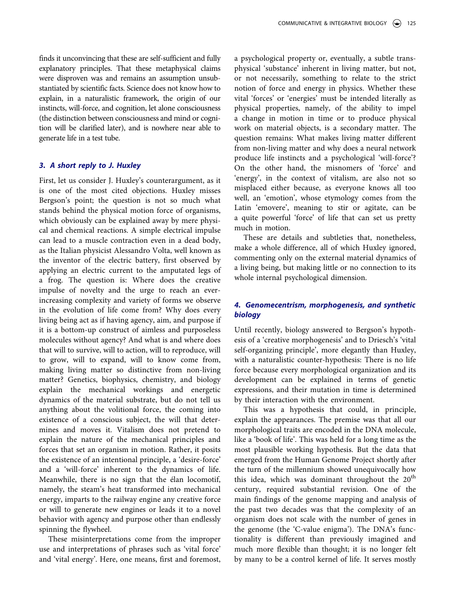finds it unconvincing that these are self-sufficient and fully explanatory principles. That these metaphysical claims were disproven was and remains an assumption unsubstantiated by scientific facts. Science does not know how to explain, in a naturalistic framework, the origin of our instincts, will-force, and cognition, let alone consciousness (the distinction between consciousness and mind or cognition will be clarified later), and is nowhere near able to generate life in a test tube.

#### *3. A short reply to J. Huxley*

First, let us consider J. Huxley's counterargument, as it is one of the most cited objections. Huxley misses Bergson's point; the question is not so much what stands behind the physical motion force of organisms, which obviously can be explained away by mere physical and chemical reactions. A simple electrical impulse can lead to a muscle contraction even in a dead body, as the Italian physicist Alessandro Volta, well known as the inventor of the electric battery, first observed by applying an electric current to the amputated legs of a frog. The question is: Where does the creative impulse of novelty and the urge to reach an everincreasing complexity and variety of forms we observe in the evolution of life come from? Why does every living being act as if having agency, aim, and purpose if it is a bottom-up construct of aimless and purposeless molecules without agency? And what is and where does that will to survive, will to action, will to reproduce, will to grow, will to expand, will to know come from, making living matter so distinctive from non-living matter? Genetics, biophysics, chemistry, and biology explain the mechanical workings and energetic dynamics of the material substrate, but do not tell us anything about the volitional force, the coming into existence of a conscious subject, the will that determines and moves it. Vitalism does not pretend to explain the nature of the mechanical principles and forces that set an organism in motion. Rather, it posits the existence of an intentional principle, a 'desire-force' and a 'will-force' inherent to the dynamics of life. Meanwhile, there is no sign that the élan locomotif, namely, the steam's heat transformed into mechanical energy, imparts to the railway engine any creative force or will to generate new engines or leads it to a novel behavior with agency and purpose other than endlessly spinning the flywheel.

These misinterpretations come from the improper use and interpretations of phrases such as 'vital force' and 'vital energy'. Here, one means, first and foremost, a psychological property or, eventually, a subtle transphysical 'substance' inherent in living matter, but not, or not necessarily, something to relate to the strict notion of force and energy in physics. Whether these vital 'forces' or 'energies' must be intended literally as physical properties, namely, of the ability to impel a change in motion in time or to produce physical work on material objects, is a secondary matter. The question remains: What makes living matter different from non-living matter and why does a neural network produce life instincts and a psychological 'will-force'? On the other hand, the misnomers of 'force' and 'energy', in the context of vitalism, are also not so misplaced either because, as everyone knows all too well, an 'emotion', whose etymology comes from the Latin 'emovere', meaning to stir or agitate, can be a quite powerful 'force' of life that can set us pretty much in motion.

These are details and subtleties that, nonetheless, make a whole difference, all of which Huxley ignored, commenting only on the external material dynamics of a living being, but making little or no connection to its whole internal psychological dimension.

## *4. Genomecentrism, morphogenesis, and synthetic biology*

Until recently, biology answered to Bergson's hypothesis of a 'creative morphogenesis' and to Driesch's 'vital self-organizing principle', more elegantly than Huxley, with a naturalistic counter-hypothesis: There is no life force because every morphological organization and its development can be explained in terms of genetic expressions, and their mutation in time is determined by their interaction with the environment.

This was a hypothesis that could, in principle, explain the appearances. The premise was that all our morphological traits are encoded in the DNA molecule, like a 'book of life'. This was held for a long time as the most plausible working hypothesis. But the data that emerged from the Human Genome Project shortly after the turn of the millennium showed unequivocally how this idea, which was dominant throughout the  $20<sup>th</sup>$ century, required substantial revision. One of the main findings of the genome mapping and analysis of the past two decades was that the complexity of an organism does not scale with the number of genes in the genome (the 'C-value enigma'). The DNA's functionality is different than previously imagined and much more flexible than thought; it is no longer felt by many to be a control kernel of life. It serves mostly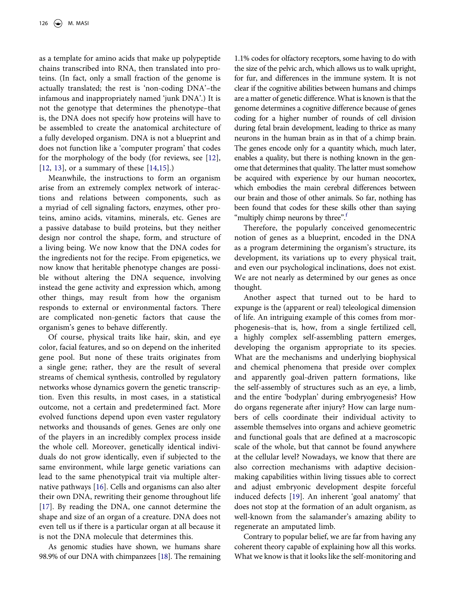as a template for amino acids that make up polypeptide chains transcribed into RNA, then translated into proteins. (In fact, only a small fraction of the genome is actually translated; the rest is 'non-coding DNA'–the infamous and inappropriately named 'junk DNA'.) It is not the genotype that determines the phenotype–that is, the DNA does not specify how proteins will have to be assembled to create the anatomical architecture of a fully developed organism. DNA is not a blueprint and does not function like a 'computer program' that codes for the morphology of the body (for reviews, see [[12\]](#page-14-16), [[12,](#page-14-16) [13\]](#page-14-17), or a summary of these [[14](#page-14-18)[,15\]](#page-14-19).)

<span id="page-6-0"></span>Meanwhile, the instructions to form an organism arise from an extremely complex network of interactions and relations between components, such as a myriad of cell signaling factors, enzymes, other proteins, amino acids, vitamins, minerals, etc. Genes are a passive database to build proteins, but they neither design nor control the shape, form, and structure of a living being. We now know that the DNA codes for the ingredients not for the recipe. From epigenetics, we now know that heritable phenotype changes are possible without altering the DNA sequence, involving instead the gene activity and expression which, among other things, may result from how the organism responds to external or environmental factors. There are complicated non-genetic factors that cause the organism's genes to behave differently.

Of course, physical traits like hair, skin, and eye color, facial features, and so on depend on the inherited gene pool. But none of these traits originates from a single gene; rather, they are the result of several streams of chemical synthesis, controlled by regulatory networks whose dynamics govern the genetic transcription. Even this results, in most cases, in a statistical outcome, not a certain and predetermined fact. More evolved functions depend upon even vaster regulatory networks and thousands of genes. Genes are only one of the players in an incredibly complex process inside the whole cell. Moreover, genetically identical individuals do not grow identically, even if subjected to the same environment, while large genetic variations can lead to the same phenotypical trait via multiple alternative pathways [\[16](#page-14-20)]. Cells and organisms can also alter their own DNA, rewriting their genome throughout life [[17\]](#page-15-0). By reading the DNA, one cannot determine the shape and size of an organ of a creature. DNA does not even tell us if there is a particular organ at all because it is not the DNA molecule that determines this.

<span id="page-6-3"></span><span id="page-6-2"></span><span id="page-6-1"></span>As genomic studies have shown, we humans share 98.9% of our DNA with chimpanzees [[18](#page-15-1)]. The remaining

1.1% codes for olfactory receptors, some having to do with the size of the pelvic arch, which allows us to walk upright, for fur, and differences in the immune system. It is not clear if the cognitive abilities between humans and chimps are a matter of genetic difference. What is known is that the genome determines a cognitive difference because of genes coding for a higher number of rounds of cell division during fetal brain development, leading to thrice as many neurons in the human brain as in that of a chimp brain. The genes encode only for a quantity which, much later, enables a quality, but there is nothing known in the genome that determines that quality. The latter must somehow be acquired with experience by our human neocortex, which embodies the main cerebral differences between our brain and those of other animals. So far, nothing has been found that codes for these skills other than saying "multiply chimp neurons by three".<sup>f</sup>

Therefore, the popularly conceived genomecentric notion of genes as a blueprint, encoded in the DNA as a program determining the organism's structure, its development, its variations up to every physical trait, and even our psychological inclinations, does not exist. We are not nearly as determined by our genes as once thought.

Another aspect that turned out to be hard to expunge is the (apparent or real) teleological dimension of life. An intriguing example of this comes from morphogenesis–that is, how, from a single fertilized cell, a highly complex self-assembling pattern emerges, developing the organism appropriate to its species. What are the mechanisms and underlying biophysical and chemical phenomena that preside over complex and apparently goal-driven pattern formations, like the self-assembly of structures such as an eye, a limb, and the entire 'bodyplan' during embryogenesis? How do organs regenerate after injury? How can large numbers of cells coordinate their individual activity to assemble themselves into organs and achieve geometric and functional goals that are defined at a macroscopic scale of the whole, but that cannot be found anywhere at the cellular level? Nowadays, we know that there are also correction mechanisms with adaptive decisionmaking capabilities within living tissues able to correct and adjust embryonic development despite forceful induced defects [\[19](#page-15-2)]. An inherent 'goal anatomy' that does not stop at the formation of an adult organism, as well-known from the salamander's amazing ability to regenerate an amputated limb.

<span id="page-6-4"></span>Contrary to popular belief, we are far from having any coherent theory capable of explaining how all this works. What we know is that it looks like the self-monitoring and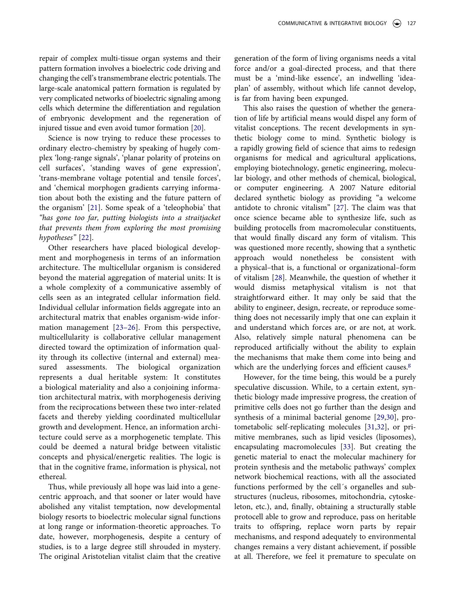repair of complex multi-tissue organ systems and their pattern formation involves a bioelectric code driving and changing the cell's transmembrane electric potentials. The large-scale anatomical pattern formation is regulated by very complicated networks of bioelectric signaling among cells which determine the differentiation and regulation of embryonic development and the regeneration of injured tissue and even avoid tumor formation [[20\]](#page-15-3).

<span id="page-7-0"></span>Science is now trying to reduce these processes to ordinary electro-chemistry by speaking of hugely complex 'long-range signals', 'planar polarity of proteins on cell surfaces', 'standing waves of gene expression', 'trans-membrane voltage potential and tensile forces', and 'chemical morphogen gradients carrying information about both the existing and the future pattern of the organism' [[21\]](#page-15-4). Some speak of a 'teleophobia' that *"has gone too far, putting biologists into a straitjacket that prevents them from exploring the most promising hypotheses"* [\[22](#page-15-5)].

<span id="page-7-3"></span><span id="page-7-2"></span><span id="page-7-1"></span>Other researchers have placed biological development and morphogenesis in terms of an information architecture. The multicellular organism is considered beyond the material aggregation of material units: It is a whole complexity of a communicative assembly of cells seen as an integrated cellular information field. Individual cellular information fields aggregate into an architectural matrix that enables organism-wide information management [[23–](#page-15-6)[26\]](#page-15-7). From this perspective, multicellularity is collaborative cellular management directed toward the optimization of information quality through its collective (internal and external) measured assessments. The biological organization represents a dual heritable system: It constitutes a biological materiality and also a conjoining information architectural matrix, with morphogenesis deriving from the reciprocations between these two inter-related facets and thereby yielding coordinated multicellular growth and development. Hence, an information architecture could serve as a morphogenetic template. This could be deemed a natural bridge between vitalistic concepts and physical/energetic realities. The logic is that in the cognitive frame, information is physical, not ethereal.

Thus, while previously all hope was laid into a genecentric approach, and that sooner or later would have abolished any vitalist temptation, now developmental biology resorts to bioelectric molecular signal functions at long range or information-theoretic approaches. To date, however, morphogenesis, despite a century of studies, is to a large degree still shrouded in mystery. The original Aristotelian vitalist claim that the creative generation of the form of living organisms needs a vital force and/or a goal-directed process, and that there must be a 'mind-like essence', an indwelling 'ideaplan' of assembly, without which life cannot develop, is far from having been expunged.

<span id="page-7-4"></span>This also raises the question of whether the generation of life by artificial means would dispel any form of vitalist conceptions. The recent developments in synthetic biology come to mind. Synthetic biology is a rapidly growing field of science that aims to redesign organisms for medical and agricultural applications, employing biotechnology, genetic engineering, molecular biology, and other methods of chemical, biological, or computer engineering. A 2007 Nature editorial declared synthetic biology as providing "a welcome antidote to chronic vitalism" [[27](#page-15-8)]. The claim was that once science became able to synthesize life, such as building protocells from macromolecular constituents, that would finally discard any form of vitalism. This was questioned more recently, showing that a synthetic approach would nonetheless be consistent with a physical–that is, a functional or organizational–form of vitalism [\[28](#page-15-9)]. Meanwhile, the question of whether it would dismiss metaphysical vitalism is not that straightforward either. It may only be said that the ability to engineer, design, recreate, or reproduce something does not necessarily imply that one can explain it and understand which forces are, or are not, at work. Also, relatively simple natural phenomena can be reproduced artificially without the ability to explain the mechanisms that make them come into being and which are the underlyin[g](#page-14-22) forces and efficient causes. $g$ 

<span id="page-7-8"></span><span id="page-7-7"></span><span id="page-7-6"></span><span id="page-7-5"></span>However, for the time being, this would be a purely speculative discussion. While, to a certain extent, synthetic biology made impressive progress, the creation of primitive cells does not go further than the design and synthesis of a minimal bacterial genome [[29,](#page-15-10)[30](#page-15-11)], protometabolic self-replicating molecules [\[31](#page-15-12),[32\]](#page-15-13), or primitive membranes, such as lipid vesicles (liposomes), encapsulating macromolecules [[33\]](#page-15-14). But creating the genetic material to enact the molecular machinery for protein synthesis and the metabolic pathways' complex network biochemical reactions, with all the associated functions performed by the cell´s organelles and substructures (nucleus, ribosomes, mitochondria, cytoskeleton, etc.), and, finally, obtaining a structurally stable protocell able to grow and reproduce, pass on heritable traits to offspring, replace worn parts by repair mechanisms, and respond adequately to environmental changes remains a very distant achievement, if possible at all. Therefore, we feel it premature to speculate on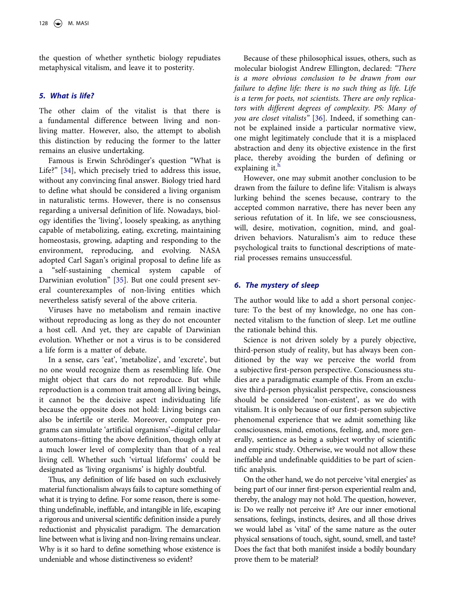the question of whether synthetic biology repudiates metaphysical vitalism, and leave it to posterity.

#### *5. What is life?*

The other claim of the vitalist is that there is a fundamental difference between living and nonliving matter. However, also, the attempt to abolish this distinction by reducing the former to the latter remains an elusive undertaking.

<span id="page-8-1"></span>Famous is Erwin Schrödinger's question "What is Life?" [[34\]](#page-15-15), which precisely tried to address this issue, without any convincing final answer. Biology tried hard to define what should be considered a living organism in naturalistic terms. However, there is no consensus regarding a universal definition of life. Nowadays, biology identifies the 'living', loosely speaking, as anything capable of metabolizing, eating, excreting, maintaining homeostasis, growing, adapting and responding to the environment, reproducing, and evolving. NASA adopted Carl Sagan's original proposal to define life as a "self-sustaining chemical system capable of Darwinian evolution" [\[35](#page-15-16)]. But one could present several counterexamples of non-living entities which nevertheless satisfy several of the above criteria.

<span id="page-8-2"></span>Viruses have no metabolism and remain inactive without reproducing as long as they do not encounter a host cell. And yet, they are capable of Darwinian evolution. Whether or not a virus is to be considered a life form is a matter of debate.

In a sense, cars 'eat', 'metabolize', and 'excrete', but no one would recognize them as resembling life. One might object that cars do not reproduce. But while reproduction is a common trait among all living beings, it cannot be the decisive aspect individuating life because the opposite does not hold: Living beings can also be infertile or sterile. Moreover, computer programs can simulate 'artificial organisms'–digital cellular automatons–fitting the above definition, though only at a much lower level of complexity than that of a real living cell. Whether such 'virtual lifeforms' could be designated as 'living organisms' is highly doubtful.

Thus, any definition of life based on such exclusively material functionalism always fails to capture something of what it is trying to define. For some reason, there is something undefinable, ineffable, and intangible in life, escaping a rigorous and universal scientific definition inside a purely reductionist and physicalist paradigm. The demarcation line between what is living and non-living remains unclear. Why is it so hard to define something whose existence is undeniable and whose distinctiveness so evident?

<span id="page-8-3"></span>Because of these philosophical issues, others, such as molecular biologist Andrew Ellington, declared: *"There is a more obvious conclusion to be drawn from our failure to define life: there is no such thing as life. Life is a term for poets, not scientists. There are only replicators with different degrees of complexity. PS: Many of you are closet vitalists"* [\[36](#page-15-17)]. Indeed, if something cannot be explained inside a particular normative view, one might legitimately conclude that it is a misplaced abstraction and deny its objective existence in the first place, thereby avoiding the burden of defining or explaining it.<sup>h</sup>

However, one may submit another conclusion to be drawn from the failure to define life: Vitalism is always lurking behind the scenes because, contrary to the accepted common narrative, there has never been any serious refutation of it. In life, we see consciousness, will, desire, motivation, cognition, mind, and goaldriven behaviors. Naturalism's aim to reduce these psychological traits to functional descriptions of material processes remains unsuccessful.

#### <span id="page-8-0"></span>*6. The mystery of sleep*

The author would like to add a short personal conjecture: To the best of my knowledge, no one has connected vitalism to the function of sleep. Let me outline the rationale behind this.

Science is not driven solely by a purely objective, third-person study of reality, but has always been conditioned by the way we perceive the world from a subjective first-person perspective. Consciousness studies are a paradigmatic example of this. From an exclusive third-person physicalist perspective, consciousness should be considered 'non-existent', as we do with vitalism. It is only because of our first-person subjective phenomenal experience that we admit something like consciousness, mind, emotions, feeling, and, more generally, sentience as being a subject worthy of scientific and empiric study. Otherwise, we would not allow these ineffable and undefinable quiddities to be part of scientific analysis.

On the other hand, we do not perceive 'vital energies' as being part of our inner first-person experiential realm and, thereby, the analogy may not hold. The question, however, is: Do we really not perceive it? Are our inner emotional sensations, feelings, instincts, desires, and all those drives we would label as 'vital' of the same nature as the outer physical sensations of touch, sight, sound, smell, and taste? Does the fact that both manifest inside a bodily boundary prove them to be material?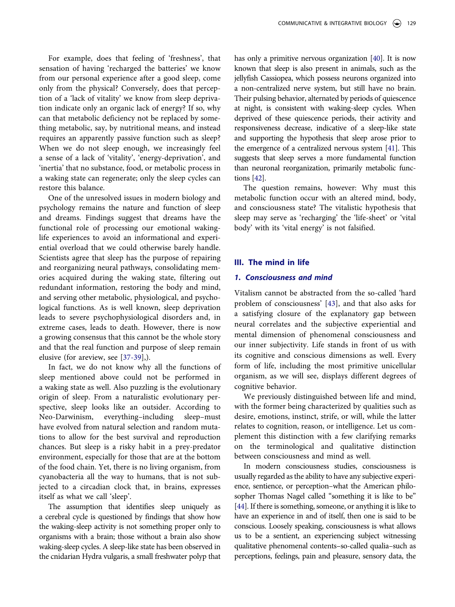For example, does that feeling of 'freshness', that sensation of having 'recharged the batteries' we know from our personal experience after a good sleep, come only from the physical? Conversely, does that perception of a 'lack of vitality' we know from sleep deprivation indicate only an organic lack of energy? If so, why can that metabolic deficiency not be replaced by something metabolic, say, by nutritional means, and instead requires an apparently passive function such as sleep? When we do not sleep enough, we increasingly feel a sense of a lack of 'vitality', 'energy-deprivation', and 'inertia' that no substance, food, or metabolic process in a waking state can regenerate; only the sleep cycles can restore this balance.

One of the unresolved issues in modern biology and psychology remains the nature and function of sleep and dreams. Findings suggest that dreams have the functional role of processing our emotional wakinglife experiences to avoid an informational and experiential overload that we could otherwise barely handle. Scientists agree that sleep has the purpose of repairing and reorganizing neural pathways, consolidating memories acquired during the waking state, filtering out redundant information, restoring the body and mind, and serving other metabolic, physiological, and psychological functions. As is well known, sleep deprivation leads to severe psychophysiological disorders and, in extreme cases, leads to death. However, there is now a growing consensus that this cannot be the whole story and that the real function and purpose of sleep remain elusive (for areview, see [[37-](#page-15-18)[39\]](#page-15-19),).

<span id="page-9-0"></span>In fact, we do not know why all the functions of sleep mentioned above could not be performed in a waking state as well. Also puzzling is the evolutionary origin of sleep. From a naturalistic evolutionary perspective, sleep looks like an outsider. According to Neo-Darwinism, everything–including sleep–must have evolved from natural selection and random mutations to allow for the best survival and reproduction chances. But sleep is a risky habit in a prey-predator environment, especially for those that are at the bottom of the food chain. Yet, there is no living organism, from cyanobacteria all the way to humans, that is not subjected to a circadian clock that, in brains, expresses itself as what we call 'sleep'.

The assumption that identifies sleep uniquely as a cerebral cycle is questioned by findings that show how the waking-sleep activity is not something proper only to organisms with a brain; those without a brain also show waking-sleep cycles. A sleep-like state has been observed in the cnidarian Hydra vulgaris, a small freshwater polyp that <span id="page-9-1"></span>has only a primitive nervous organization [[40](#page-15-20)]. It is now known that sleep is also present in animals, such as the jellyfish Cassiopea, which possess neurons organized into a non-centralized nerve system, but still have no brain. Their pulsing behavior, alternated by periods of quiescence at night, is consistent with waking-sleep cycles. When deprived of these quiescence periods, their activity and responsiveness decrease, indicative of a sleep-like state and supporting the hypothesis that sleep arose prior to the emergence of a centralized nervous system [\[41\]](#page-15-21). This suggests that sleep serves a more fundamental function than neuronal reorganization, primarily metabolic functions [\[42\]](#page-15-22).

<span id="page-9-3"></span><span id="page-9-2"></span>The question remains, however: Why must this metabolic function occur with an altered mind, body, and consciousness state? The vitalistic hypothesis that sleep may serve as 'recharging' the 'life-sheet' or 'vital body' with its 'vital energy' is not falsified.

#### **III. The mind in life**

#### *1. Consciousness and mind*

<span id="page-9-4"></span>Vitalism cannot be abstracted from the so-called 'hard problem of consciousness' [[43\]](#page-15-23), and that also asks for a satisfying closure of the explanatory gap between neural correlates and the subjective experiential and mental dimension of phenomenal consciousness and our inner subjectivity. Life stands in front of us with its cognitive and conscious dimensions as well. Every form of life, including the most primitive unicellular organism, as we will see, displays different degrees of cognitive behavior.

We previously distinguished between life and mind, with the former being characterized by qualities such as desire, emotions, instinct, strife, or will, while the latter relates to cognition, reason, or intelligence. Let us complement this distinction with a few clarifying remarks on the terminological and qualitative distinction between consciousness and mind as well.

<span id="page-9-5"></span>In modern consciousness studies, consciousness is usually regarded as the ability to have any subjective experience, sentience, or perception–what the American philosopher Thomas Nagel called "something it is like to be" [\[44](#page-15-24)]. If there is something, someone, or anything it is like to have an experience in and of itself, then one is said to be conscious. Loosely speaking, consciousness is what allows us to be a sentient, an experiencing subject witnessing qualitative phenomenal contents–so-called qualia–such as perceptions, feelings, pain and pleasure, sensory data, the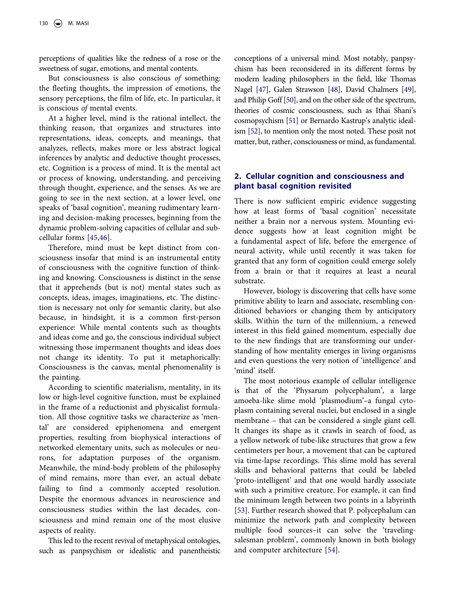perceptions of qualities like the redness of a rose or the sweetness of sugar, emotions, and mental contents.

But consciousness is also conscious *of* something: the fleeting thoughts, the impression of emotions, the sensory perceptions, the film of life, etc. In particular, it is conscious *of* mental events.

At a higher level, mind is the rational intellect, the thinking reason, that organizes and structures into representations, ideas, concepts, and meanings, that analyzes, reflects, makes more or less abstract logical inferences by analytic and deductive thought processes, etc. Cognition is a process of mind. It is the mental act or process of knowing, understanding, and perceiving through thought, experience, and the senses. As we are going to see in the next section, at a lower level, one speaks of 'basal cognition', meaning rudimentary learning and decision-making processes, beginning from the dynamic problem-solving capacities of cellular and subcellular forms [\[45](#page-15-25),[46\]](#page-15-26).

<span id="page-10-0"></span>Therefore, mind must be kept distinct from consciousness insofar that mind is an instrumental entity of consciousness with the cognitive function of thinking and knowing. Consciousness is distinct in the sense that it apprehends (but is not) mental states such as concepts, ideas, images, imaginations, etc. The distinction is necessary not only for semantic clarity, but also because, in hindsight, it is a common first-person experience: While mental contents such as thoughts and ideas come and go, the conscious individual subject witnessing those impermanent thoughts and ideas does not change its identity. To put it metaphorically: Consciousness is the canvas, mental phenomenality is the painting.

According to scientific materialism, mentality, in its low or high-level cognitive function, must be explained in the frame of a reductionist and physicalist formulation. All those cognitive tasks we characterize as 'mental' are considered epiphenomena and emergent properties, resulting from biophysical interactions of networked elementary units, such as molecules or neurons, for adaptation purposes of the organism. Meanwhile, the mind-body problem of the philosophy of mind remains, more than ever, an actual debate failing to find a commonly accepted resolution. Despite the enormous advances in neuroscience and consciousness studies within the last decades, consciousness and mind remain one of the most elusive aspects of reality.

This led to the recent revival of metaphysical ontologies, such as panpsychism or idealistic and panentheistic <span id="page-10-3"></span><span id="page-10-2"></span><span id="page-10-1"></span>conceptions of a universal mind. Most notably, panpsychism has been reconsidered in its different forms by modern leading philosophers in the field, like Thomas Nagel [\[47](#page-15-27)], Galen Strawson [\[48\]](#page-15-28), David Chalmers [[49](#page-15-29)], and Philip Goff [\[50](#page-15-30)], and on the other side of the spectrum, theories of cosmic consciousness, such as Ithai Shani's cosmopsychism [[51](#page-15-31)] or Bernardo Kastrup's analytic idealism [\[52](#page-15-32)], to mention only the most noted. These posit not matter, but, rather, consciousness or mind, as fundamental.

## <span id="page-10-4"></span>**2. Cellular cognition and consciousness and plant basal cognition revisited**

There is now sufficient empiric evidence suggesting how at least forms of 'basal cognition' necessitate neither a brain nor a nervous system. Mounting evidence suggests how at least cognition might be a fundamental aspect of life, before the emergence of neural activity, while until recently it was taken for granted that any form of cognition could emerge solely from a brain or that it requires at least a neural substrate.

However, biology is discovering that cells have some primitive ability to learn and associate, resembling conditioned behaviors or changing them by anticipatory skills. Within the turn of the millennium, a renewed interest in this field gained momentum, especially due to the new findings that are transforming our understanding of how mentality emerges in living organisms and even questions the very notion of 'intelligence' and 'mind' itself.

<span id="page-10-6"></span><span id="page-10-5"></span>The most notorious example of cellular intelligence is that of the 'Physarum polycephalum', a large amoeba-like slime mold 'plasmodium'*–*a fungal cytoplasm containing several nuclei, but enclosed in a single membrane – that can be considered a single giant cell. It changes its shape as it crawls in search of food, as a yellow network of tube-like structures that grow a few centimeters per hour, a movement that can be captured via time-lapse recordings. This slime mold has several skills and behavioral patterns that could be labeled 'proto-intelligent' and that one would hardly associate with such a primitive creature. For example, it can find the minimum length between two points in a labyrinth [[53\]](#page-15-33). Further research showed that P. polycephalum can minimize the network path and complexity between multiple food sources–it can solve the 'travelingsalesman problem', commonly known in both biology and computer architecture [[54\]](#page-15-34).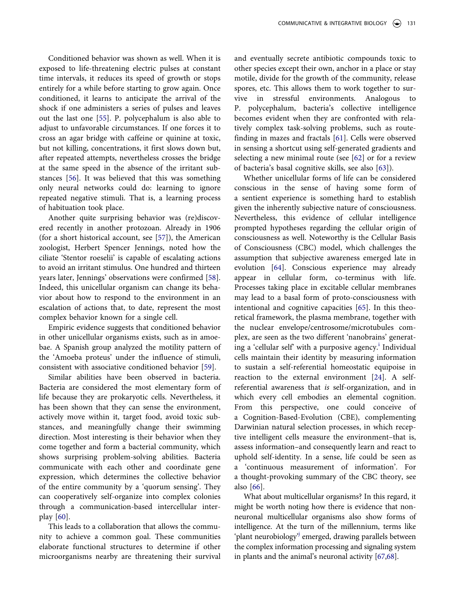<span id="page-11-1"></span>Conditioned behavior was shown as well. When it is exposed to life-threatening electric pulses at constant time intervals, it reduces its speed of growth or stops entirely for a while before starting to grow again. Once conditioned, it learns to anticipate the arrival of the shock if one administers a series of pulses and leaves out the last one [\[55](#page-16-0)]. P. polycephalum is also able to adjust to unfavorable circumstances. If one forces it to cross an agar bridge with caffeine or quinine at toxic, but not killing, concentrations, it first slows down but, after repeated attempts, nevertheless crosses the bridge at the same speed in the absence of the irritant substances [[56\]](#page-16-1). It was believed that this was something only neural networks could do: learning to ignore repeated negative stimuli. That is, a learning process of habituation took place.

<span id="page-11-3"></span><span id="page-11-2"></span>Another quite surprising behavior was (re)discovered recently in another protozoan. Already in 1906 (for a short historical account, see [\[57](#page-16-2)]), the American zoologist, Herbert Spencer Jennings, noted how the ciliate 'Stentor roeselii' is capable of escalating actions to avoid an irritant stimulus. One hundred and thirteen years later, Jennings' observations were confirmed [[58\]](#page-16-3). Indeed, this unicellular organism can change its behavior about how to respond to the environment in an escalation of actions that, to date, represent the most complex behavior known for a single cell.

<span id="page-11-4"></span>Empiric evidence suggests that conditioned behavior in other unicellular organisms exists, such as in amoebae. A Spanish group analyzed the motility pattern of the 'Amoeba proteus' under the influence of stimuli, consistent with associative conditioned behavior [\[59](#page-16-4)].

<span id="page-11-5"></span>Similar abilities have been observed in bacteria. Bacteria are considered the most elementary form of life because they are prokaryotic cells. Nevertheless, it has been shown that they can sense the environment, actively move within it, target food, avoid toxic substances, and meaningfully change their swimming direction. Most interesting is their behavior when they come together and form a bacterial community, which shows surprising problem-solving abilities. Bacteria communicate with each other and coordinate gene expression, which determines the collective behavior of the entire community by a 'quorum sensing'. They can cooperatively self-organize into complex colonies through a communication-based intercellular interplay [[60\]](#page-16-5).

<span id="page-11-6"></span>This leads to a collaboration that allows the community to achieve a common goal. These communities elaborate functional structures to determine if other microorganisms nearby are threatening their survival and eventually secrete antibiotic compounds toxic to other species except their own, anchor in a place or stay motile, divide for the growth of the community, release spores, etc. This allows them to work together to survive in stressful environments. Analogous to P. polycephalum, bacteria's collective intelligence becomes evident when they are confronted with relatively complex task-solving problems, such as routefinding in mazes and fractals [\[61](#page-16-6)]. Cells were observed in sensing a shortcut using self-generated gradients and selecting a new minimal route (see [\[62](#page-16-7)] or for a review of bacteria's basal cognitive skills, see also [\[63](#page-16-8)]).

<span id="page-11-11"></span><span id="page-11-10"></span><span id="page-11-9"></span><span id="page-11-8"></span><span id="page-11-7"></span>Whether unicellular forms of life can be considered conscious in the sense of having some form of a sentient experience is something hard to establish given the inherently subjective nature of consciousness. Nevertheless, this evidence of cellular intelligence prompted hypotheses regarding the cellular origin of consciousness as well. Noteworthy is the Cellular Basis of Consciousness (CBC) model, which challenges the assumption that subjective awareness emerged late in evolution [[64\]](#page-16-9). Conscious experience may already appear in cellular form, co-terminus with life. Processes taking place in excitable cellular membranes may lead to a basal form of proto-consciousness with intentional and cognitive capacities [\[65\]](#page-16-10). In this theoretical framework, the plasma membrane, together with the nuclear envelope/centrosome/microtubules complex, are seen as the two different 'nanobrains' generating a 'cellular self' with a purposive agency.<sup>i</sup> Individual cells maintain their identity by measuring information to sustain a self-referential homeostatic equipoise in reaction to the external environment [\[24\]](#page-15-35). A selfreferential awareness that *is* self-organization, and in which every cell embodies an elemental cognition. From this perspective, one could conceive of a Cognition-Based-Evolution (CBE), complementing Darwinian natural selection processes, in which receptive intelligent cells measure the environment–that is, assess information–and consequently learn and react to uphold self-identity. In a sense, life could be seen as 'continuous measurement of information'. For a thought-provoking summary of the CBC theory, see also [[66\]](#page-16-11).

<span id="page-11-13"></span><span id="page-11-12"></span><span id="page-11-0"></span>What about multicellular organisms? In this regard, it might be worth noting how there is evidence that nonneuronal multicellular organisms also show forms of intelligence. At the turn of the millennium, terms like 'plant neurobiology'[j](#page-14-25) emerged, drawing parallels between the complex information processing and signaling system in plants and the animal's neuronal activity [[67,](#page-16-12)[68\]](#page-16-13).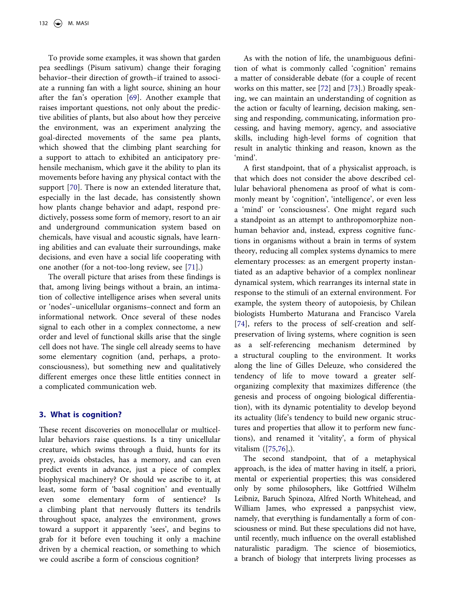<span id="page-12-0"></span>To provide some examples, it was shown that garden pea seedlings (Pisum sativum) change their foraging behavior–their direction of growth–if trained to associate a running fan with a light source, shining an hour after the fan's operation [[69\]](#page-16-14). Another example that raises important questions, not only about the predictive abilities of plants, but also about how they perceive the environment, was an experiment analyzing the goal-directed movements of the same pea plants, which showed that the climbing plant searching for a support to attach to exhibited an anticipatory prehensile mechanism, which gave it the ability to plan its movements before having any physical contact with the support [[70](#page-16-15)]. There is now an extended literature that, especially in the last decade, has consistently shown how plants change behavior and adapt, respond predictively, possess some form of memory, resort to an air and underground communication system based on chemicals, have visual and acoustic signals, have learning abilities and can evaluate their surroundings, make decisions, and even have a social life cooperating with one another (for a not-too-long review, see [\[71](#page-16-16)].)

<span id="page-12-2"></span><span id="page-12-1"></span>The overall picture that arises from these findings is that, among living beings without a brain, an intimation of collective intelligence arises when several units or 'nodes'–unicellular organisms–connect and form an informational network. Once several of these nodes signal to each other in a complex connectome, a new order and level of functional skills arise that the single cell does not have. The single cell already seems to have some elementary cognition (and, perhaps, a protoconsciousness), but something new and qualitatively different emerges once these little entities connect in a complicated communication web.

#### **3. What is cognition?**

These recent discoveries on monocellular or multicellular behaviors raise questions. Is a tiny unicellular creature, which swims through a fluid, hunts for its prey, avoids obstacles, has a memory, and can even predict events in advance, just a piece of complex biophysical machinery? Or should we ascribe to it, at least, some form of 'basal cognition' and eventually even some elementary form of sentience? Is a climbing plant that nervously flutters its tendrils throughout space, analyzes the environment, grows toward a support it apparently 'sees', and begins to grab for it before even touching it only a machine driven by a chemical reaction, or something to which we could ascribe a form of conscious cognition?

<span id="page-12-3"></span>As with the notion of life, the unambiguous definition of what is commonly called 'cognition' remains a matter of considerable debate (for a couple of recent works on this matter, see [[72\]](#page-16-17) and [\[73](#page-16-18)].) Broadly speaking, we can maintain an understanding of cognition as the action or faculty of learning, decision making, sensing and responding, communicating, information processing, and having memory, agency, and associative skills, including high-level forms of cognition that result in analytic thinking and reason, known as the 'mind'.

A first standpoint, that of a physicalist approach, is that which does not consider the above described cellular behavioral phenomena as proof of what is commonly meant by 'cognition', 'intelligence', or even less a 'mind' or 'consciousness'. One might regard such a standpoint as an attempt to anthropomorphize nonhuman behavior and, instead, express cognitive functions in organisms without a brain in terms of system theory, reducing all complex systems dynamics to mere elementary processes: as an emergent property instantiated as an adaptive behavior of a complex nonlinear dynamical system, which rearranges its internal state in response to the stimuli of an external environment. For example, the system theory of autopoiesis, by Chilean biologists Humberto Maturana and Francisco Varela [[74\]](#page-16-19), refers to the process of self-creation and selfpreservation of living systems, where cognition is seen as a self-referencing mechanism determined by a structural coupling to the environment. It works along the line of Gilles Deleuze, who considered the tendency of life to move toward a greater selforganizing complexity that maximizes difference (the genesis and process of ongoing biological differentiation), with its dynamic potentiality to develop beyond its actuality (life's tendency to build new organic structures and properties that allow it to perform new functions), and renamed it 'vitality', a form of physical vitalism ([\[75](#page-16-20),[76\]](#page-16-21),).

<span id="page-12-5"></span><span id="page-12-4"></span>The second standpoint, that of a metaphysical approach, is the idea of matter having in itself, a priori, mental or experiential properties; this was considered only by some philosophers, like Gottfried Wilhelm Leibniz, Baruch Spinoza, Alfred North Whitehead, and William James, who expressed a panpsychist view, namely, that everything is fundamentally a form of consciousness or mind. But these speculations did not have, until recently, much influence on the overall established naturalistic paradigm. The science of biosemiotics, a branch of biology that interprets living processes as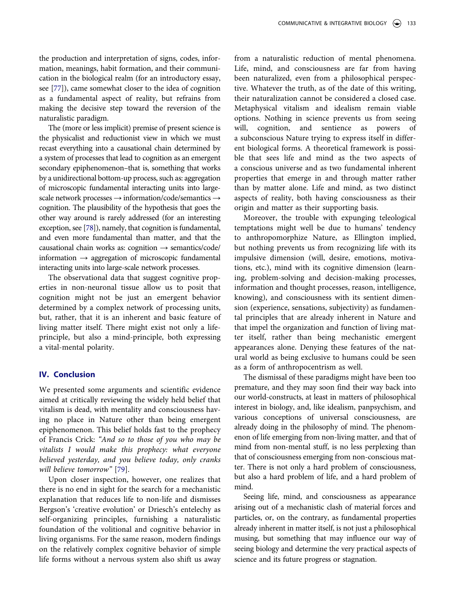<span id="page-13-0"></span>the production and interpretation of signs, codes, information, meanings, habit formation, and their communication in the biological realm (for an introductory essay, see [\[77\]](#page-16-22)), came somewhat closer to the idea of cognition as a fundamental aspect of reality, but refrains from making the decisive step toward the reversion of the naturalistic paradigm.

The (more or less implicit) premise of present science is the physicalist and reductionist view in which we must recast everything into a causational chain determined by a system of processes that lead to cognition as an emergent secondary epiphenomenon–that is, something that works by a unidirectional bottom-up process, such as: aggregation of microscopic fundamental interacting units into largescale network processes → information/code/semantics → cognition. The plausibility of the hypothesis that goes the other way around is rarely addressed (for an interesting exception, see [\[78\]](#page-16-23)), namely, that cognition is fundamental, and even more fundamental than matter, and that the causational chain works as: cognition  $\rightarrow$  semantics/code/ information **→** aggregation of microscopic fundamental interacting units into large-scale network processes.

<span id="page-13-1"></span>The observational data that suggest cognitive properties in non-neuronal tissue allow us to posit that cognition might not be just an emergent behavior determined by a complex network of processing units, but, rather, that it is an inherent and basic feature of living matter itself. There might exist not only a lifeprinciple, but also a mind-principle, both expressing a vital-mental polarity.

### **IV. Conclusion**

We presented some arguments and scientific evidence aimed at critically reviewing the widely held belief that vitalism is dead, with mentality and consciousness having no place in Nature other than being emergent epiphenomenon. This belief holds fast to the prophecy of Francis Crick: *"And so to those of you who may be vitalists I would make this prophecy: what everyone believed yesterday, and you believe today, only cranks will believe tomorrow"* [\[79](#page-16-24)].

<span id="page-13-2"></span>Upon closer inspection, however, one realizes that there is no end in sight for the search for a mechanistic explanation that reduces life to non-life and dismisses Bergson's 'creative evolution' or Driesch's entelechy as self-organizing principles, furnishing a naturalistic foundation of the volitional and cognitive behavior in living organisms. For the same reason, modern findings on the relatively complex cognitive behavior of simple life forms without a nervous system also shift us away

from a naturalistic reduction of mental phenomena. Life, mind, and consciousness are far from having been naturalized, even from a philosophical perspective. Whatever the truth, as of the date of this writing, their naturalization cannot be considered a closed case. Metaphysical vitalism and idealism remain viable options. Nothing in science prevents us from seeing will, cognition, and sentience as powers of a subconscious Nature trying to express itself in different biological forms. A theoretical framework is possible that sees life and mind as the two aspects of a conscious universe and as two fundamental inherent properties that emerge in and through matter rather than by matter alone. Life and mind, as two distinct aspects of reality, both having consciousness as their origin and matter as their supporting basis.

Moreover, the trouble with expunging teleological temptations might well be due to humans' tendency to anthropomorphize Nature, as Ellington implied, but nothing prevents us from recognizing life with its impulsive dimension (will, desire, emotions, motivations, etc.), mind with its cognitive dimension (learning, problem-solving and decision-making processes, information and thought processes, reason, intelligence, knowing), and consciousness with its sentient dimension (experience, sensations, subjectivity) as fundamental principles that are already inherent in Nature and that impel the organization and function of living matter itself, rather than being mechanistic emergent appearances alone. Denying these features of the natural world as being exclusive to humans could be seen as a form of anthropocentrism as well.

The dismissal of these paradigms might have been too premature, and they may soon find their way back into our world-constructs, at least in matters of philosophical interest in biology, and, like idealism, panpsychism, and various conceptions of universal consciousness, are already doing in the philosophy of mind. The phenomenon of life emerging from non-living matter, and that of mind from non-mental stuff, is no less perplexing than that of consciousness emerging from non-conscious matter. There is not only a hard problem of consciousness, but also a hard problem of life, and a hard problem of mind.

Seeing life, mind, and consciousness as appearance arising out of a mechanistic clash of material forces and particles, or, on the contrary, as fundamental properties already inherent in matter itself, is not just a philosophical musing, but something that may influence our way of seeing biology and determine the very practical aspects of science and its future progress or stagnation.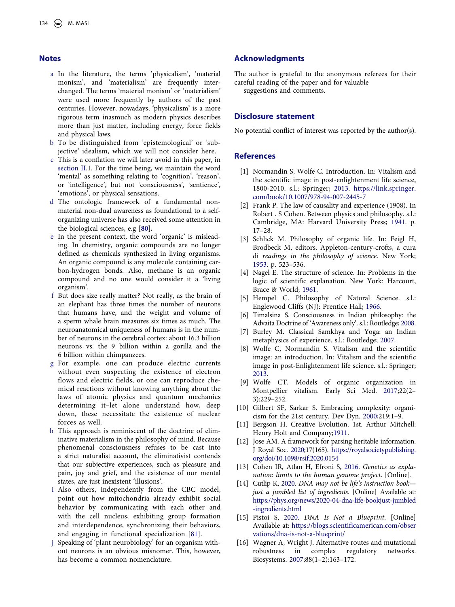### **Notes**

- <span id="page-14-5"></span>a In the literature, the terms 'physicalism', 'material monism', and 'materialism' are frequently interchanged. The terms 'material monism' or 'materialism' were used more frequently by authors of the past centuries. However, nowadays, 'physicalism' is a more rigorous term inasmuch as modern physics describes more than just matter, including energy, force fields and physical laws.
- <span id="page-14-6"></span>b To be distinguished from 'epistemological' or 'subjective' idealism, which we will not consider here.
- <span id="page-14-7"></span>c This is a conflation we will later avoid in this paper, in [section II](#page-2-0).1. For the time being, we maintain the word 'mental' as something relating to 'cognition', 'reason', or 'intelligence', but not 'consciousness', 'sentience', 'emotions', or physical sensations.
- <span id="page-14-9"></span>d The ontologic framework of a fundamental nonmaterial non-dual awareness as foundational to a selforganizing universe has also received some attention in the biological sciences, e.g [**[80\]](#page-16-25).**
- <span id="page-14-26"></span><span id="page-14-15"></span>e In the present context, the word 'organic' is misleading. In chemistry, organic compounds are no longer defined as chemicals synthesized in living organisms. An organic compound is any molecule containing carbon-hydrogen bonds. Also, methane is an organic compound and no one would consider it a 'living organism'.
- <span id="page-14-21"></span>f But does size really matter? Not really, as the brain of an elephant has three times the number of neurons that humans have, and the weight and volume of a sperm whale brain measures six times as much. The neuroanatomical uniqueness of humans is in the number of neurons in the cerebral cortex: about 16.3 billion neurons vs. the 9 billion within a gorilla and the 6 billion within chimpanzees.
- <span id="page-14-22"></span>g For example, one can produce electric currents without even suspecting the existence of electron flows and electric fields, or one can reproduce chemical reactions without knowing anything about the laws of atomic physics and quantum mechanics determining it–let alone understand how, deep down, these necessitate the existence of nuclear forces as well.
- <span id="page-14-23"></span>h This approach is reminiscent of the doctrine of eliminative materialism in the philosophy of mind. Because phenomenal consciousness refuses to be cast into a strict naturalist account, the eliminativist contends that our subjective experiences, such as pleasure and pain, joy and grief, and the existence of our mental states, are just inexistent 'illusions'.
- <span id="page-14-24"></span>i Also others, independently from the CBC model, point out how mitochondria already exhibit social behavior by communicating with each other and with the cell nucleus, exhibiting group formation and interdependence, synchronizing their behaviors, and engaging in functional specialization [[81](#page-16-26)].
- <span id="page-14-27"></span><span id="page-14-25"></span>j Speaking of 'plant neurobiology' for an organism without neurons is an obvious misnomer. This, however, has become a common nomenclature.

### **Acknowledgments**

The author is grateful to the anonymous referees for their careful reading of the paper and for valuable

suggestions and comments.

#### **Disclosure statement**

No potential conflict of interest was reported by the author(s).

#### **References**

- <span id="page-14-0"></span>[1] Normandin S, Wolfe C. Introduction. In: Vitalism and the scientific image in post-enlightenment life science, 1800-2010. s.l.: Springer; [2013.](#page-1-0) [https://link.springer.](https://link.springer.com/book/10.1007/978-94-007-2445-7) [com/book/10.1007/978-94-007-2445-7](https://link.springer.com/book/10.1007/978-94-007-2445-7)
- <span id="page-14-1"></span>[2] Frank P. The law of causality and experience (1908). In Robert . S Cohen. Between physics and philosophy. s.l.: Cambridge, MA: Harvard University Press; [1941.](#page-1-1) p. 17–28.
- <span id="page-14-2"></span>[3] Schlick M. Philosophy of organic life. In: Feigl H, Brodbeck M, editors. Appleton-century-crofts, a cura di *readings in the philosophy of science*. New York; [1953](#page-1-1). p. 523–536.
- <span id="page-14-3"></span>[4] Nagel E. The structure of science. In: Problems in the logic of scientific explanation. New York: Harcourt, Brace & World; [1961.](#page-1-2)
- <span id="page-14-4"></span>[5] Hempel C. Philosophy of Natural Science. s.l.: Englewood Cliffs (NJ): Prentice Hall; [1966.](#page-1-3)
- <span id="page-14-8"></span>[6] Timalsina S. Consciousness in Indian philosophy: the Advaita Doctrine of 'Awareness only'. s.l.: Routledge; [2008.](#page-2-1)
- <span id="page-14-10"></span>[7] Burley M. Classical Samkhya and Yoga: an Indian metaphysics of experience. s.l.: Routledge; [2007.](#page-2-2)
- <span id="page-14-11"></span>[8] Wolfe C, Normandin S. Vitalism and the scientific image: an introduction. In: Vitalism and the scientific image in post-Enlightenment life science. s.l.: Springer; [2013](#page-2-3).
- <span id="page-14-12"></span>[9] Wolfe CT. Models of organic organization in Montpellier vitalism. Early Sci Med. [2017;](#page-3-0)22(2– 3):229–252.
- <span id="page-14-13"></span>[10] Gilbert SF, Sarkar S. Embracing complexity: organicism for the 21st century. Dev Dyn. [2000](#page-3-1);219:1–9.
- <span id="page-14-14"></span>[11] Bergson H. Creative Evolution. 1st. Arthur Mitchell: Henry Holt and Company[;1911.](#page-3-2)
- <span id="page-14-16"></span>[12] Jose AM. A framework for parsing heritable information. J Royal Soc. [2020;](#page-6-0)17(165). [https://royalsocietypublishing.](https://royalsocietypublishing.org/doi/10.1098/rsif.2020.0154)  [org/doi/10.1098/rsif.2020.0154](https://royalsocietypublishing.org/doi/10.1098/rsif.2020.0154)
- <span id="page-14-17"></span>[13] Cohen IR, Atlan H, Efroni S, [2016.](#page-6-0) *Genetics as explanation: limits to the human genome project*. [Online].
- <span id="page-14-18"></span>[14] Cutlip K, [2020.](#page-6-0) *DNA may not be life's instruction book just a jumbled list of ingredients*. [Online] Available at: [https://phys.org/news/2020-04-dna-life-bookjust-jumbled](https://phys.org/news/2020-04-dna-life-bookjust-jumbled-ingredients.html)  [-ingredients.html](https://phys.org/news/2020-04-dna-life-bookjust-jumbled-ingredients.html)
- <span id="page-14-19"></span>[15] Pistoi S, [2020.](#page-6-0) *DNA Is Not a Blueprint*. [Online] Available at: [https://blogs.scientificamerican.com/obser](https://blogs.scientificamerican.com/observations/dna-is-not-a-blueprint/)  [vations/dna-is-not-a-blueprint/](https://blogs.scientificamerican.com/observations/dna-is-not-a-blueprint/)
- <span id="page-14-20"></span>[16] Wagner A, Wright J. Alternative routes and mutational robustness in complex regulatory networks. Biosystems. [2007](#page-6-1);88(1–2):163–172.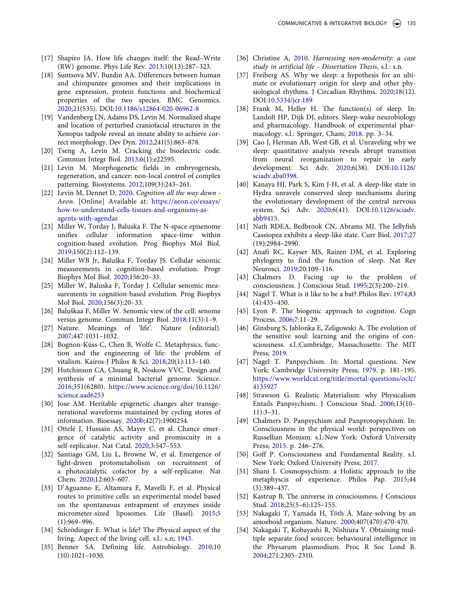- <span id="page-15-0"></span>[17] Shapiro JA. How life changes itself: the Read–Write (RW) genome. Phys Life Rev. [2013](#page-6-2);10(13):287–323.
- <span id="page-15-1"></span>[18] Suntsova MV, Buzdin AA. Differences between human and chimpanzee genomes and their implications in gene expression, protein functions and biochemical properties of the two species. BMC Genomics. [2020](#page-6-3);21(535). DOI:[10.1186/s12864-020-06962-8](https://doi.org/10.1186/s12864-020-06962-8)
- <span id="page-15-2"></span>[19] Vandenberg LN, Adams DS, Levin M. Normalized shape and location of perturbed craniofacial structures in the Xenopus tadpole reveal an innate ability to achieve correct morphology. Dev Dyn. [2012;](#page-6-4)241(5):863–878.
- <span id="page-15-3"></span>[20] Tseng A, Levin M. Cracking the bioelectric code. Commun Integr Biol. [2013;](#page-7-0)6(1):e22595.
- <span id="page-15-4"></span>[21] Levin M. Morphogenetic fields in embryogenesis, regeneration, and cancer: non-local control of complex patterning. Biosystems. [2012](#page-7-1);109(3):243–261.
- <span id="page-15-5"></span>[22] Levin M, Dennet D, [2020](#page-7-2). *Cognition all the way down - Aeon*. [Online] Available at: [https://aeon.co/essays/](https://aeon.co/essays/how-to-understand-cells-tissues-and-organisms-as-agents-with-agendas) [how-to-understand-cells-tissues-and-organisms-as](https://aeon.co/essays/how-to-understand-cells-tissues-and-organisms-as-agents-with-agendas)[agents-with-agendas](https://aeon.co/essays/how-to-understand-cells-tissues-and-organisms-as-agents-with-agendas)
- <span id="page-15-6"></span>[23] Miller W, Torday J, Baluska F. The N-space episenome unifies cellular information space-time within cognition-based evolution. Prog Biophys Mol Biol. [2019](#page-7-3);150(2):112–139.
- <span id="page-15-35"></span>[24] Miller WB Jr, Baluška F, Torday JS. Cellular senomic measurements in cognition-based evolution. Progr Biophys Mol Biol. [2020;](#page-11-0)156:20–33.
- [25] Miller W, Baluska F, Torday J. Cellular senomic measurements in cognition-based evolution. Prog Biophys Mol Biol. 2020;156(3):20–33.
- <span id="page-15-7"></span>[26] Baluškaa F, Miller W. Senomic view of the cell: senome versus genome. Commun Integr Biol. 2018;11(3):1–9.
- <span id="page-15-8"></span>[27] Nature. Meanings of 'life'. Nature (editorial). [2007](#page-7-4);447:1031–1032.
- <span id="page-15-9"></span>[28] Bognon-Küss C, Chen B, Wolfe C. Metaphysics, function and the engineering of life: the problem of vitalism. Kairos-J Philos & Sci. [2018](#page-7-5);20(1):113–140.
- <span id="page-15-10"></span>[29] Hutchinson CA, Chuang R, Noskow VVC. Design and synthesis of a minimal bacterial genome. Science. [2016;](#page-7-6)351(6280). [https://www.science.org/doi/10.1126/](https://www.science.org/doi/10.1126/science.aad6253) [science.aad6253](https://www.science.org/doi/10.1126/science.aad6253)
- <span id="page-15-11"></span>[30] Jose AM. Heritable epigenetic changes alter transgenerational waveforms maintained by cycling stores of information. Bioessay. [2020b;](#page-7-6)42(7):1900254.
- <span id="page-15-12"></span>[31] Ottelé J, Hussain AS, Mayer C, et al. Chance emergence of catalytic activity and promiscuity in a self-replicator. Nat Catal. [2020](#page-7-7);3:547–553.
- <span id="page-15-13"></span>[32] Santiago GM, Liu L, Browne W, et al. Emergence of light-driven protometabolism on recruitment of a photocatalytic cofactor by a self-replicator. Nat Chem. [2020;](#page-7-7)12:603–607.
- <span id="page-15-14"></span>[33] D'Aguanno E, Altamura E, Mavelli F, et al. Physical routes to primitive cells: an experimental model based on the spontaneous entrapment of enzymes inside micrometer-sized liposomes. Life (Basel). [2015](#page-7-8);5 (1):969–996.
- <span id="page-15-15"></span>[34] Schrödinger E. What is life? The Physical aspect of the living. Aspect of the living cell. s.l.: s.n; [1943.](#page-8-1)
- <span id="page-15-16"></span>[35] Benner SA. Defining life. Astrobiology. [2010;](#page-8-2)10 (10):1021–1030.
- <span id="page-15-17"></span>[36] Christine A, [2010.](#page-8-3) *Harnessing non-modernity: a case study in artificial life - Dissertation Thesis*, s.l.: s.n.
- <span id="page-15-18"></span>[37] Freiberg AS. Why we sleep: a hypothesis for an ultimate or evolutionary origin for sleep and other physiological rhythms. J Circadian Rhythms. [2020;](#page-9-0)18(12). DOI:[10.5334/jcr.189](https://doi.org/10.5334/jcr.189)
- [38] Frank M, Heller H. The function(s) of sleep. In: Landolt HP, Dijk DJ, editors. Sleep-wake neurobiology and pharmacology. Handbook of experimental pharmacology. s.l.: Springer, Cham; 2018. pp. 3–34.
- <span id="page-15-19"></span>[39] Cao J, Herman AB, West GB, et al. Unraveling why we sleep: quantitative analysis reveals abrupt transition from neural reorganization to repair in early development. Sci Adv. 2020;6(38). DOI:[10.1126/](https://doi.org/10.1126/sciadv.aba0398) [sciadv.aba0398](https://doi.org/10.1126/sciadv.aba0398).
- <span id="page-15-20"></span>[40] Kanaya HJ, Park S, Kim J-H, et al. A sleep-like state in Hydra unravels conserved sleep mechanisms during the evolutionary development of the central nervous system. Sci Adv. [2020;](#page-9-1)6(41). DOI:[10.1126/sciadv.](https://doi.org/10.1126/sciadv.abb9415) [abb9415](https://doi.org/10.1126/sciadv.abb9415).
- <span id="page-15-21"></span>[41] Nath RDEA, Bedbrook CN, Abrams MJ. The Jellyfish Cassiopea exhibits a sleep-like state. Curr Biol. [2017;](#page-9-2)27 (19):2984–2990.
- <span id="page-15-22"></span>[42] Anafi RC, Kayser MS, Raizen DM, et al. Exploring phylogeny to find the function of sleep. Nat Rev Neurosci. [2019](#page-9-3);20:109–116.
- <span id="page-15-23"></span>[43] Chalmers D. Facing up to the problem of consciousness. J Conscious Stud. [1995](#page-9-4);2(3):200–219.
- <span id="page-15-24"></span>[44] Nagel T. What is it like to be a bat? Philos Rev. [1974;](#page-9-5)83 (4):435–450.
- <span id="page-15-25"></span>[45] Lyon P. The biogenic approach to cognition. Cogn Process. [2006](#page-10-0);7:11–29.
- <span id="page-15-26"></span>[46] Ginsburg S, Jablonka E, Zeligowski A. The evolution of the sensitive soul: learning and the origins of consciousness. s.l.:Cambridge, Massachusetts: The MIT Press; [2019](#page-10-0).
- <span id="page-15-27"></span>[47] Nagel T. Panpsychism. In: Mortal questions. New York: Cambridge University Press; [1979.](#page-10-1) p. 181–195. [https://www.worldcat.org/title/mortal-questions/oclc/](https://www.worldcat.org/title/mortal-questions/oclc/4135927) [4135927](https://www.worldcat.org/title/mortal-questions/oclc/4135927)
- <span id="page-15-28"></span>[48] Strawson G. Realistic Materialism: why Physicalism Entails Panpsychism. J Conscious Stud. [2006](#page-10-1);13(10– 11):3–31.
- <span id="page-15-29"></span>[49] Chalmers D. Panpsychism and Panprotopsychism. In: Consciousness in the physical world: perspectives on Russellian Monism. s.l.:New York: Oxford University Press; [2015](#page-10-1). p. 246–276.
- <span id="page-15-30"></span>[50] Goff P. Consciousness and Fundamental Reality. s.l. New York: Oxford University Press; [2017.](#page-10-2)
- <span id="page-15-31"></span>[51] Shani I. Cosmopsychism: a Holistic approach to the metaphyscis of experience. Philos Pap. [2015;](#page-10-3)44 (3):389–437.
- <span id="page-15-32"></span>[52] Kastrup B. The universe in consciousness. J Conscious Stud. [2018;](#page-10-4)25(5–6):125–155.
- <span id="page-15-33"></span>[53] Nakagaki T, Yamada H, Tóth Á. Maze-solving by an amoeboid organism. Nature. [2000;](#page-10-5)407(470):470-470.
- <span id="page-15-34"></span>[54] Nakagaki T, Kobayashi R, Nishiura Y. Obtaining multiple separate food sources: behavioural intelligence in the Physarum plasmodium. Proc R Soc Lond B. [2004](#page-10-6);271:2305–2310.